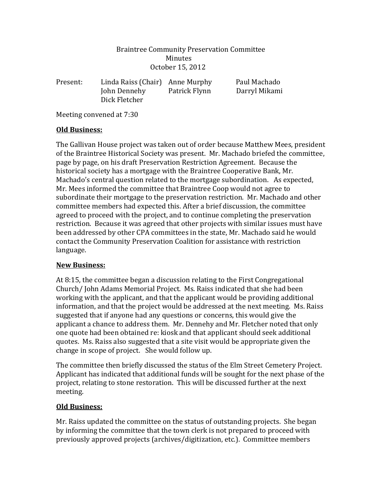### Braintree Community Preservation Committee Minutes October 15, 2012

| Present: | Linda Raiss (Chair) Anne Murphy |               | Paul Machado  |
|----------|---------------------------------|---------------|---------------|
|          | John Dennehy                    | Patrick Flynn | Darryl Mikami |
|          | Dick Fletcher                   |               |               |

Meeting convened at 7:30

### **Old Business:**

The Gallivan House project was taken out of order because Matthew Mees, president of the Braintree Historical Society was present. Mr. Machado briefed the committee, page by page, on his draft Preservation Restriction Agreement. Because the historical society has a mortgage with the Braintree Cooperative Bank, Mr. Machado's central question related to the mortgage subordination. As expected, Mr. Mees informed the committee that Braintree Coop would not agree to subordinate their mortgage to the preservation restriction. Mr. Machado and other committee members had expected this. After a brief discussion, the committee agreed to proceed with the project, and to continue completing the preservation restriction. Because it was agreed that other projects with similar issues must have been addressed by other CPA committees in the state, Mr. Machado said he would contact the Community Preservation Coalition for assistance with restriction language.

# **New Business:**

At 8:15, the committee began a discussion relating to the First Congregational Church/ John Adams Memorial Project. Ms. Raiss indicated that she had been working with the applicant, and that the applicant would be providing additional information, and that the project would be addressed at the next meeting. Ms. Raiss suggested that if anyone had any questions or concerns, this would give the applicant a chance to address them. Mr. Dennehy and Mr. Fletcher noted that only one quote had been obtained re: kiosk and that applicant should seek additional quotes. Ms. Raiss also suggested that a site visit would be appropriate given the change in scope of project. She would follow up.

The committee then briefly discussed the status of the Elm Street Cemetery Project. Applicant has indicated that additional funds will be sought for the next phase of the project, relating to stone restoration. This will be discussed further at the next meeting.

# **Old Business:**

Mr. Raiss updated the committee on the status of outstanding projects. She began by informing the committee that the town clerk is not prepared to proceed with previously approved projects (archives/digitization, etc.). Committee members